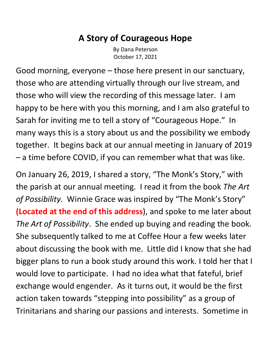## **A Story of Courageous Hope**

By Dana Peterson October 17, 2021

Good morning, everyone – those here present in our sanctuary, those who are attending virtually through our live stream, and those who will view the recording of this message later. I am happy to be here with you this morning, and I am also grateful to Sarah for inviting me to tell a story of "Courageous Hope." In many ways this is a story about us and the possibility we embody together. It begins back at our annual meeting in January of 2019 – a time before COVID, if you can remember what that was like.

On January 26, 2019, I shared a story, "The Monk's Story, " with the parish at our annual meeting. I read it from the book *The Art of Possibility.* Winnie Grace was inspired by "The Monk's Story" **(Located at the end of this address**), and spoke to me later about *The Art of Possibility*. She ended up buying and reading the book. She subsequently talked to me at Coffee Hour a few weeks later about discussing the book with me. Little did I know that she had bigger plans to run a book study around this work. I told her that I would love to participate. I had no idea what that fateful, brief exchange would engender. As it turns out, it would be the first action taken towards "stepping into possibility" as a group of Trinitarians and sharing our passions and interests. Sometime in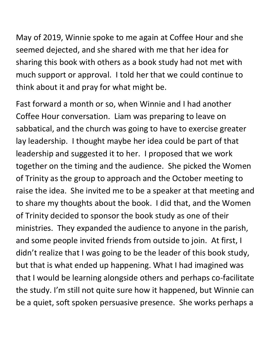May of 2019, Winnie spoke to me again at Coffee Hour and she seemed dejected, and she shared with me that her idea for sharing this book with others as a book study had not met with much support or approval. I told her that we could continue to think about it and pray for what might be.

Fast forward a month or so, when Winnie and I had another Coffee Hour conversation. Liam was preparing to leave on sabbatical, and the church was going to have to exercise greater lay leadership. I thought maybe her idea could be part of that leadership and suggested it to her. I proposed that we work together on the timing and the audience. She picked the Women of Trinity as the group to approach and the October meeting to raise the idea. She invited me to be a speaker at that meeting and to share my thoughts about the book. I did that, and the Women of Trinity decided to sponsor the book study as one of their ministries. They expanded the audience to anyone in the parish, and some people invited friends from outside to join. At first, I didn't realize that I was going to be the leader of this book study, but that is what ended up happening. What I had imagined was that I would be learning alongside others and perhaps co-facilitate the study. I'm still not quite sure how it happened, but Winnie can be a quiet, soft spoken persuasive presence. She works perhaps a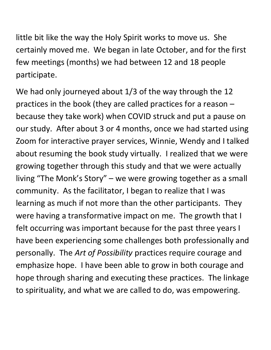little bit like the way the Holy Spirit works to move us. She certainly moved me. We began in late October, and for the first few meetings (months) we had between 12 and 18 people participate.

We had only journeyed about 1/3 of the way through the 12 practices in the book (they are called practices for a reason – because they take work) when COVID struck and put a pause on our study. After about 3 or 4 months, once we had started using Zoom for interactive prayer services, Winnie, Wendy and I talked about resuming the book study virtually. I realized that we were growing together through this study and that we were actually living "The Monk's Story" – we were growing together as a small community. As the facilitator, I began to realize that I was learning as much if not more than the other participants. They were having a transformative impact on me. The growth that I felt occurring was important because for the past three years I have been experiencing some challenges both professionally and personally. The *Art of Possibility* practices require courage and emphasize hope. I have been able to grow in both courage and hope through sharing and executing these practices. The linkage to spirituality, and what we are called to do, was empowering.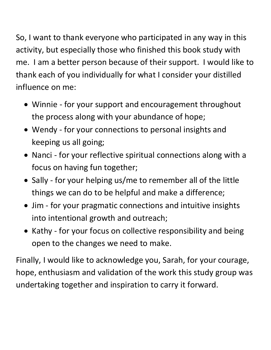So, I want to thank everyone who participated in any way in this activity, but especially those who finished this book study with me. I am a better person because of their support. I would like to thank each of you individually for what I consider your distilled influence on me:

- Winnie for your support and encouragement throughout the process along with your abundance of hope;
- Wendy for your connections to personal insights and keeping us all going;
- Nanci for your reflective spiritual connections along with a focus on having fun together;
- Sally for your helping us/me to remember all of the little things we can do to be helpful and make a difference;
- Jim for your pragmatic connections and intuitive insights into intentional growth and outreach;
- Kathy for your focus on collective responsibility and being open to the changes we need to make.

Finally, I would like to acknowledge you, Sarah, for your courage, hope, enthusiasm and validation of the work this study group was undertaking together and inspiration to carry it forward.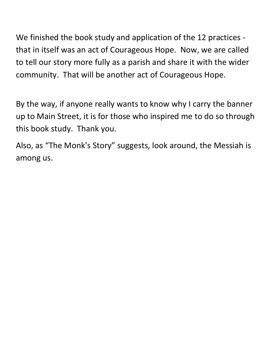We finished the book study and application of the 12 practices that in itself was an act of Courageous Hope. Now, we are called to tell our story more fully as a parish and share it with the wider community. That will be another act of Courageous Hope.

By the way, if anyone really wants to know why I carry the banner up to Main Street, it is for those who inspired me to do so through this book study. Thank you.

Also, as "The Monk's Story" suggests, look around, the Messiah is among us.